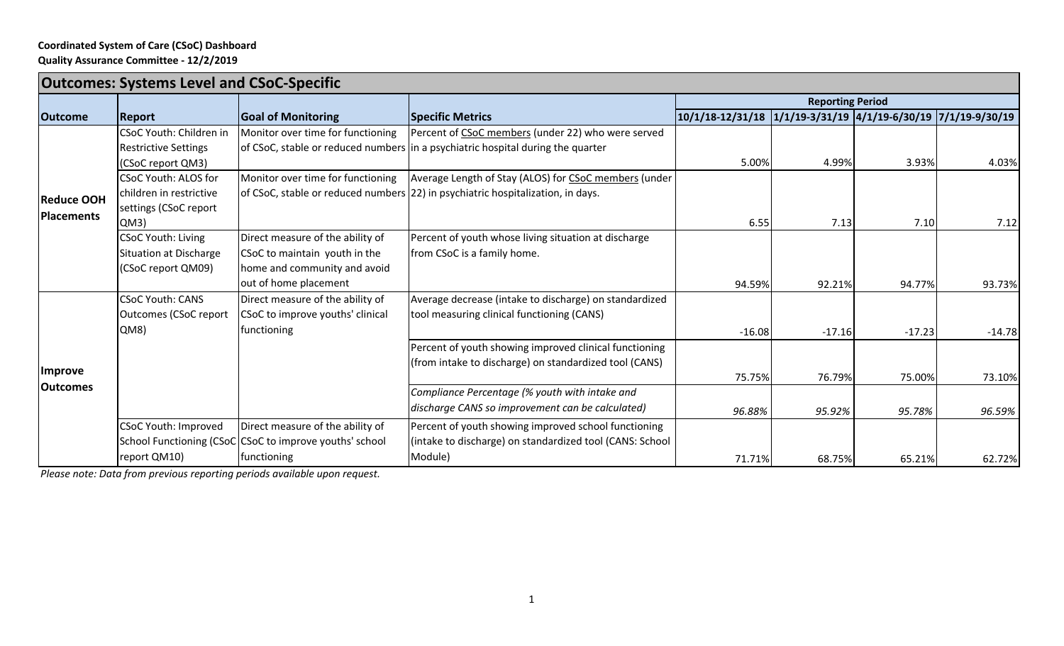## **Coordinated System of Care (CSoC) Dashboard Quality Assurance Committee - 12/2/2019**

| <b>Outcomes: Systems Level and CSoC-Specific</b> |                             |                                                         |                                                                                  |                                                                  |                         |          |          |  |
|--------------------------------------------------|-----------------------------|---------------------------------------------------------|----------------------------------------------------------------------------------|------------------------------------------------------------------|-------------------------|----------|----------|--|
|                                                  |                             |                                                         |                                                                                  |                                                                  | <b>Reporting Period</b> |          |          |  |
| <b>Outcome</b>                                   | <b>Report</b>               | <b>Goal of Monitoring</b>                               | <b>Specific Metrics</b>                                                          | 10/1/18-12/31/18  1/1/19-3/31/19  4/1/19-6/30/19  7/1/19-9/30/19 |                         |          |          |  |
| <b>Reduce OOH</b><br><b>Placements</b>           | CSoC Youth: Children in     | Monitor over time for functioning                       | Percent of CSoC members (under 22) who were served                               |                                                                  |                         |          |          |  |
|                                                  | <b>Restrictive Settings</b> |                                                         | of CSoC, stable or reduced numbers in a psychiatric hospital during the quarter  |                                                                  |                         |          |          |  |
|                                                  | (CSoC report QM3)           |                                                         |                                                                                  | 5.00%                                                            | 4.99%                   | 3.93%    | 4.03%    |  |
|                                                  | <b>CSoC Youth: ALOS for</b> | Monitor over time for functioning                       | Average Length of Stay (ALOS) for CSoC members (under                            |                                                                  |                         |          |          |  |
|                                                  | children in restrictive     |                                                         | of CSoC, stable or reduced numbers (22) in psychiatric hospitalization, in days. |                                                                  |                         |          |          |  |
|                                                  | settings (CSoC report       |                                                         |                                                                                  |                                                                  |                         |          |          |  |
|                                                  | QM3)                        |                                                         |                                                                                  | 6.55                                                             | 7.13                    | 7.10     | 7.12     |  |
|                                                  | <b>CSoC Youth: Living</b>   | Direct measure of the ability of                        | Percent of youth whose living situation at discharge                             |                                                                  |                         |          |          |  |
|                                                  | Situation at Discharge      | CSoC to maintain youth in the                           | from CSoC is a family home.                                                      |                                                                  |                         |          |          |  |
|                                                  | (CSoC report QM09)          | home and community and avoid                            |                                                                                  |                                                                  |                         |          |          |  |
|                                                  |                             | out of home placement                                   |                                                                                  | 94.59%                                                           | 92.21%                  | 94.77%   | 93.73%   |  |
| <b>Improve</b><br><b>Outcomes</b>                | <b>CSoC Youth: CANS</b>     | Direct measure of the ability of                        | Average decrease (intake to discharge) on standardized                           |                                                                  |                         |          |          |  |
|                                                  | Outcomes (CSoC report       | CSoC to improve youths' clinical                        | tool measuring clinical functioning (CANS)                                       |                                                                  |                         |          |          |  |
|                                                  | QM8)                        | functioning                                             |                                                                                  | $-16.08$                                                         | $-17.16$                | $-17.23$ | $-14.78$ |  |
|                                                  |                             |                                                         | Percent of youth showing improved clinical functioning                           |                                                                  |                         |          |          |  |
|                                                  |                             |                                                         | (from intake to discharge) on standardized tool (CANS)                           |                                                                  |                         |          |          |  |
|                                                  |                             |                                                         |                                                                                  | 75.75%                                                           | 76.79%                  | 75.00%   | 73.10%   |  |
|                                                  |                             |                                                         | Compliance Percentage (% youth with intake and                                   |                                                                  |                         |          |          |  |
|                                                  |                             |                                                         | discharge CANS so improvement can be calculated)                                 | 96.88%                                                           | 95.92%                  | 95.78%   | 96.59%   |  |
|                                                  | <b>CSoC Youth: Improved</b> | Direct measure of the ability of                        | Percent of youth showing improved school functioning                             |                                                                  |                         |          |          |  |
|                                                  |                             | School Functioning (CSoC CSoC to improve youths' school | (intake to discharge) on standardized tool (CANS: School                         |                                                                  |                         |          |          |  |
|                                                  | report QM10)                | functioning                                             | Module)                                                                          | 71.71%                                                           | 68.75%                  | 65.21%   | 62.72%   |  |

*Please note: Data from previous reporting periods available upon request.*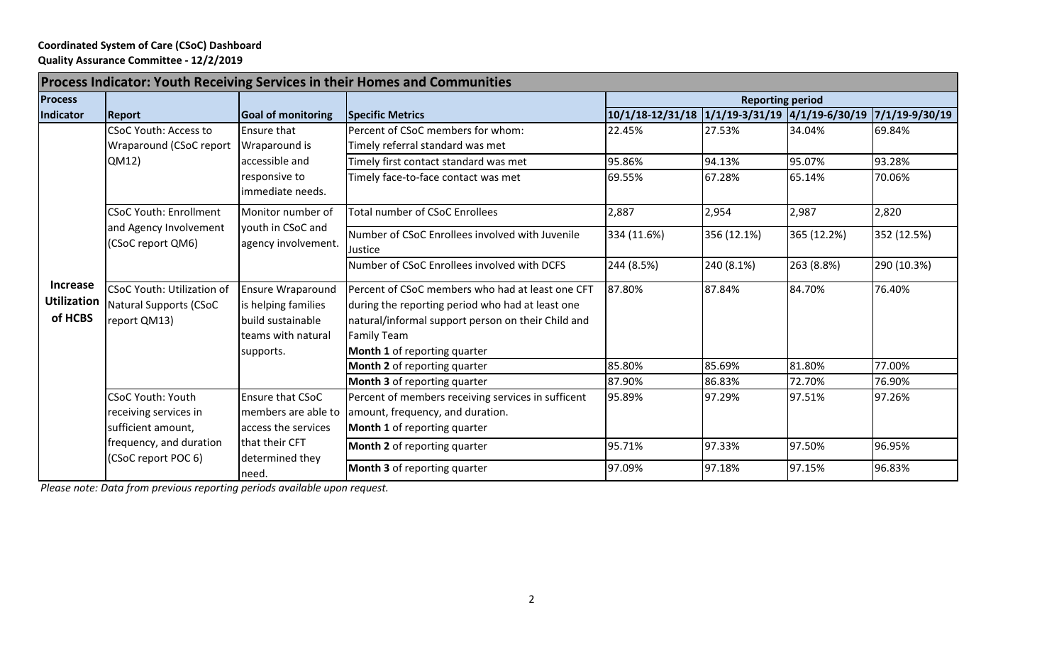## **Coordinated System of Care (CSoC) Dashboard Quality Assurance Committee - 12/2/2019**

| Process Indicator: Youth Receiving Services in their Homes and Communities |                                   |                           |                                                    |                                                               |             |             |             |  |
|----------------------------------------------------------------------------|-----------------------------------|---------------------------|----------------------------------------------------|---------------------------------------------------------------|-------------|-------------|-------------|--|
| <b>Process</b>                                                             |                                   |                           |                                                    | <b>Reporting period</b>                                       |             |             |             |  |
| Indicator                                                                  | Report                            | <b>Goal of monitoring</b> | Specific Metrics                                   | 10/1/18-12/31/18 1/1/19-3/31/19 4/1/19-6/30/19 7/1/19-9/30/19 |             |             |             |  |
| <b>Increase</b><br><b>Utilization</b><br>of HCBS                           | <b>CSoC Youth: Access to</b>      | <b>Ensure that</b>        | Percent of CSoC members for whom:                  | 22.45%                                                        | 27.53%      | 34.04%      | 69.84%      |  |
|                                                                            | Wraparound (CSoC report           | Wraparound is             | Timely referral standard was met                   |                                                               |             |             |             |  |
|                                                                            | QM12)                             | accessible and            | Timely first contact standard was met              | 95.86%                                                        | 94.13%      | 95.07%      | 93.28%      |  |
|                                                                            |                                   | responsive to             | Timely face-to-face contact was met                | 69.55%                                                        | 67.28%      | 65.14%      | 70.06%      |  |
|                                                                            |                                   | immediate needs.          |                                                    |                                                               |             |             |             |  |
|                                                                            | <b>CSoC Youth: Enrollment</b>     | Monitor number of         | <b>Total number of CSoC Enrollees</b>              | 2,887                                                         | 2,954       | 2,987       | 2,820       |  |
|                                                                            | and Agency Involvement            | youth in CSoC and         | Number of CSoC Enrollees involved with Juvenile    | 334 (11.6%)                                                   | 356 (12.1%) | 365 (12.2%) | 352 (12.5%) |  |
|                                                                            | (CSoC report QM6)                 | agency involvement.       | Justice                                            |                                                               |             |             |             |  |
|                                                                            |                                   |                           | Number of CSoC Enrollees involved with DCFS        | 244 (8.5%)                                                    | 240 (8.1%)  | 263 (8.8%)  | 290 (10.3%) |  |
|                                                                            | <b>CSoC Youth: Utilization of</b> | <b>Ensure Wraparound</b>  | Percent of CSoC members who had at least one CFT   | 87.80%                                                        | 87.84%      | 84.70%      | 76.40%      |  |
|                                                                            | Natural Supports (CSoC            | is helping families       | during the reporting period who had at least one   |                                                               |             |             |             |  |
|                                                                            | report QM13)                      | build sustainable         | natural/informal support person on their Child and |                                                               |             |             |             |  |
|                                                                            |                                   | teams with natural        | <b>Family Team</b>                                 |                                                               |             |             |             |  |
|                                                                            |                                   | supports.                 | Month 1 of reporting quarter                       |                                                               |             |             |             |  |
|                                                                            |                                   |                           | Month 2 of reporting quarter                       | 85.80%                                                        | 85.69%      | 81.80%      | 77.00%      |  |
|                                                                            |                                   |                           | <b>Month 3</b> of reporting quarter                | 87.90%                                                        | 86.83%      | 72.70%      | 76.90%      |  |
|                                                                            | <b>CSoC Youth: Youth</b>          | <b>Ensure that CSoC</b>   | Percent of members receiving services in sufficent | 95.89%                                                        | 97.29%      | 97.51%      | 97.26%      |  |
|                                                                            | receiving services in             | members are able to       | amount, frequency, and duration.                   |                                                               |             |             |             |  |
|                                                                            | sufficient amount,                | access the services       | Month 1 of reporting quarter                       |                                                               |             |             |             |  |
|                                                                            | frequency, and duration           | that their CFT            | Month 2 of reporting quarter                       | 95.71%                                                        | 97.33%      | 97.50%      | 96.95%      |  |
|                                                                            | (CSoC report POC 6)               | determined they<br>need.  | Month 3 of reporting quarter                       | 97.09%                                                        | 97.18%      | 97.15%      | 96.83%      |  |

*Please note: Data from previous reporting periods available upon request.*